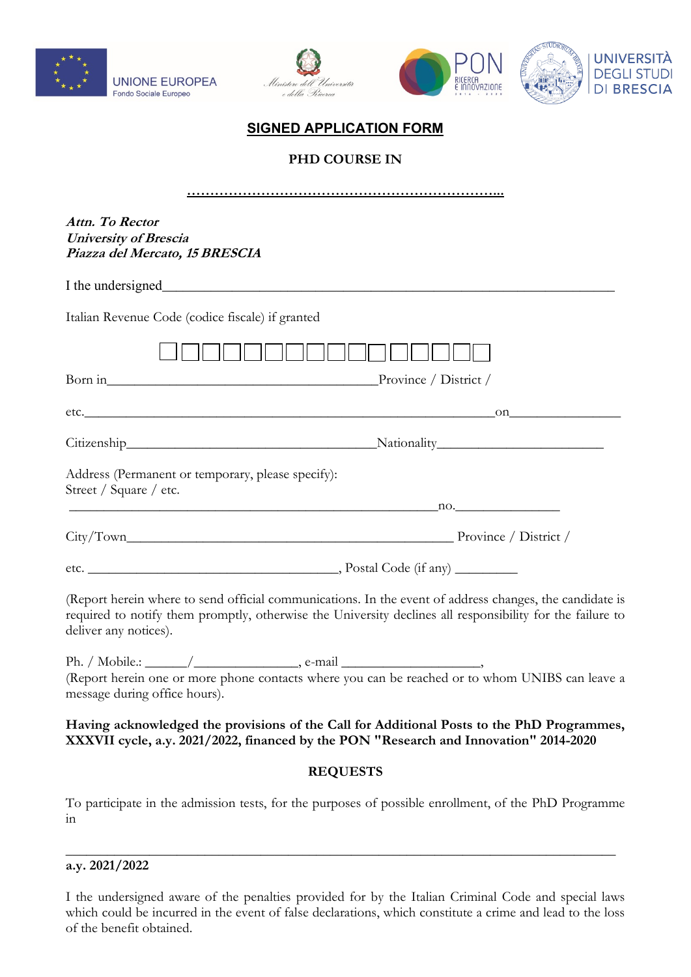





# **SIGNED APPLICATION FORM**

**PHD COURSE IN** 

| Attn. To Rector<br><b>University of Brescia</b><br>Piazza del Mercato, 15 BRESCIA                                                                                                                                                             |  |  |  |
|-----------------------------------------------------------------------------------------------------------------------------------------------------------------------------------------------------------------------------------------------|--|--|--|
|                                                                                                                                                                                                                                               |  |  |  |
| Italian Revenue Code (codice fiscale) if granted                                                                                                                                                                                              |  |  |  |
|                                                                                                                                                                                                                                               |  |  |  |
| Born in Province / District /                                                                                                                                                                                                                 |  |  |  |
|                                                                                                                                                                                                                                               |  |  |  |
|                                                                                                                                                                                                                                               |  |  |  |
| Address (Permanent or temporary, please specify):<br>Street / Square / etc.                                                                                                                                                                   |  |  |  |
| 10.                                                                                                                                                                                                                                           |  |  |  |
|                                                                                                                                                                                                                                               |  |  |  |
|                                                                                                                                                                                                                                               |  |  |  |
| (Report herein where to send official communications. In the event of address changes, the candidate is<br>required to notify them promptly, otherwise the University declines all responsibility for the failure to<br>deliver any notices). |  |  |  |
| Ph. / Mobile.: $\_\_\_\_\_\_\_\_\$ , e-mail $\_\_\_\_\_\_\_\_\_\_\_\_\_\_\_$                                                                                                                                                                  |  |  |  |
| (Report herein one or more phone contacts where you can be reached or to whom UNIBS can leave a<br>message during office hours).                                                                                                              |  |  |  |
| Having acknowledged the provisions of the Call for Additional Posts to the PhD Programmes,<br>XXXVII cycle, a.y. 2021/2022, financed by the PON "Research and Innovation" 2014-2020                                                           |  |  |  |
| <b>REQUESTS</b>                                                                                                                                                                                                                               |  |  |  |
| To participate in the admission tests, for the purposes of possible enrollment, of the PhD Programme<br>1n                                                                                                                                    |  |  |  |

#### **a.y. 2021/2022**

I the undersigned aware of the penalties provided for by the Italian Criminal Code and special laws which could be incurred in the event of false declarations, which constitute a crime and lead to the loss of the benefit obtained.

\_\_\_\_\_\_\_\_\_\_\_\_\_\_\_\_\_\_\_\_\_\_\_\_\_\_\_\_\_\_\_\_\_\_\_\_\_\_\_\_\_\_\_\_\_\_\_\_\_\_\_\_\_\_\_\_\_\_\_\_\_\_\_\_\_\_\_\_\_\_\_\_\_\_\_\_\_\_\_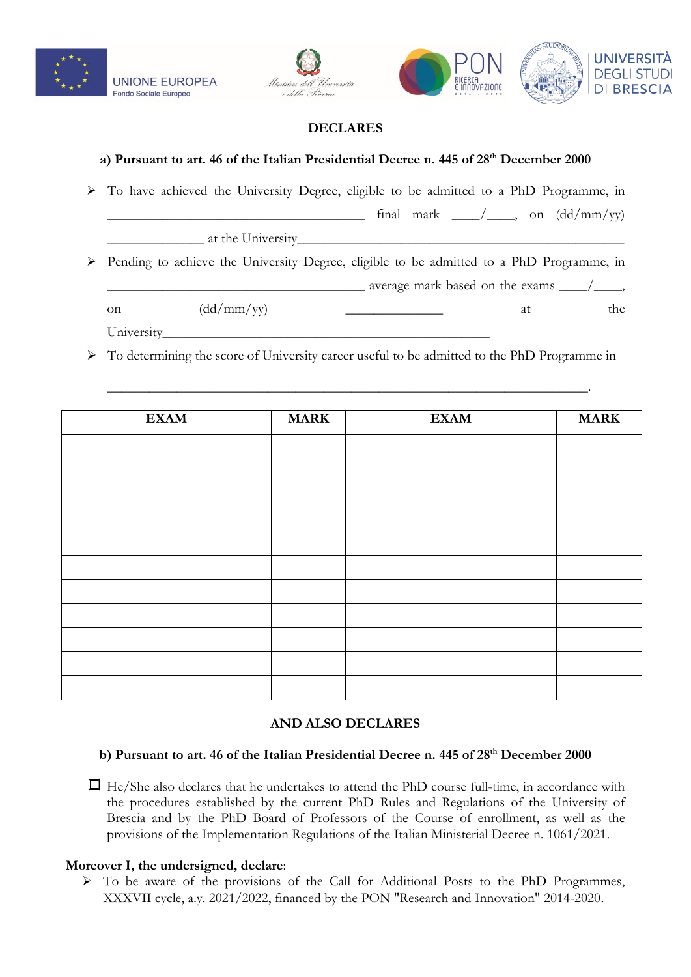





## **DECLARES**

## **a) Pursuant to art. 46 of the Italian Presidential Decree n. 445 of 28th December 2000**

➢ To have achieved the University Degree, eligible to be admitted to a PhD Programme, in  $\lim_{x \to a} \tan x = \lim_{x \to a} \tan x$  final mark  $\frac{1}{x}$  on  $\frac{1}{\tan x}$ at the University ➢ Pending to achieve the University Degree, eligible to be admitted to a PhD Programme, in  $\frac{1}{2}$  average mark based on the exams  $\frac{1}{2}$ , on  $(dd/mm/yy)$  at the University\_\_\_\_\_\_\_\_\_\_\_\_\_\_\_\_\_\_\_\_\_\_\_\_\_\_\_\_\_\_\_\_\_\_\_\_\_\_\_\_\_\_\_\_\_\_\_

➢ To determining the score of University career useful to be admitted to the PhD Programme in

\_\_\_\_\_\_\_\_\_\_\_\_\_\_\_\_\_\_\_\_\_\_\_\_\_\_\_\_\_\_\_\_\_\_\_\_\_\_\_\_\_\_\_\_\_\_\_\_\_\_\_\_\_\_\_\_\_\_\_\_\_\_\_\_\_\_\_\_\_.

| <b>EXAM</b> | <b>MARK</b> | <b>EXAM</b> | <b>MARK</b> |
|-------------|-------------|-------------|-------------|
|             |             |             |             |
|             |             |             |             |
|             |             |             |             |
|             |             |             |             |
|             |             |             |             |
|             |             |             |             |
|             |             |             |             |
|             |             |             |             |
|             |             |             |             |
|             |             |             |             |
|             |             |             |             |

## **AND ALSO DECLARES**

#### **b) Pursuant to art. 46 of the Italian Presidential Decree n. 445 of 28th December 2000**

 $\Box$  He/She also declares that he undertakes to attend the PhD course full-time, in accordance with the procedures established by the current PhD Rules and Regulations of the University of Brescia and by the PhD Board of Professors of the Course of enrollment, as well as the provisions of the Implementation Regulations of the Italian Ministerial Decree n. 1061/2021.

#### **Moreover I, the undersigned, declare**:

➢ To be aware of the provisions of the Call for Additional Posts to the PhD Programmes, XXXVII cycle, a.y. 2021/2022, financed by the PON "Research and Innovation" 2014-2020.